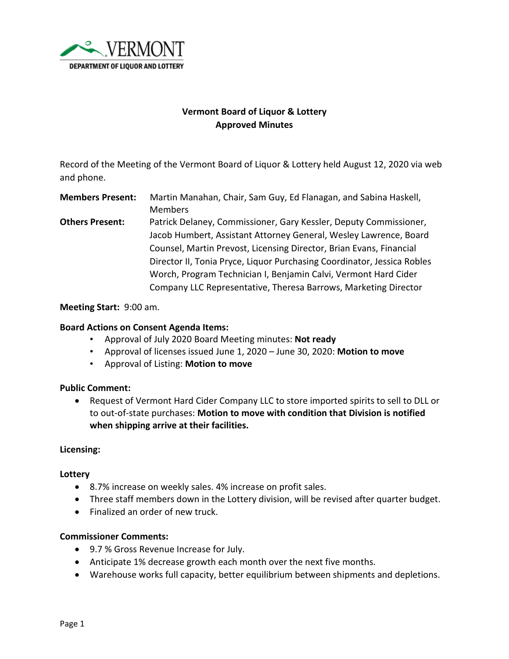

# **Vermont Board of Liquor & Lottery Approved Minutes**

Record of the Meeting of the Vermont Board of Liquor & Lottery held August 12, 2020 via web and phone.

**Members Present:** Martin Manahan, Chair, Sam Guy, Ed Flanagan, and Sabina Haskell, Members

**Others Present:** Patrick Delaney, Commissioner, Gary Kessler, Deputy Commissioner, Jacob Humbert, Assistant Attorney General, Wesley Lawrence, Board Counsel, Martin Prevost, Licensing Director, Brian Evans, Financial Director II, Tonia Pryce, Liquor Purchasing Coordinator, Jessica Robles Worch, Program Technician I, Benjamin Calvi, Vermont Hard Cider Company LLC Representative, Theresa Barrows, Marketing Director

**Meeting Start:** 9:00 am.

## **Board Actions on Consent Agenda Items:**

- Approval of July 2020 Board Meeting minutes: **Not ready**
- Approval of licenses issued June 1, 2020 June 30, 2020: **Motion to move**
- Approval of Listing: **Motion to move**

### **Public Comment:**

• Request of Vermont Hard Cider Company LLC to store imported spirits to sell to DLL or to out-of-state purchases: **Motion to move with condition that Division is notified when shipping arrive at their facilities.**

### **Licensing:**

### **Lottery**

- 8.7% increase on weekly sales. 4% increase on profit sales.
- Three staff members down in the Lottery division, will be revised after quarter budget.
- Finalized an order of new truck.

### **Commissioner Comments:**

- 9.7 % Gross Revenue Increase for July.
- Anticipate 1% decrease growth each month over the next five months.
- Warehouse works full capacity, better equilibrium between shipments and depletions.